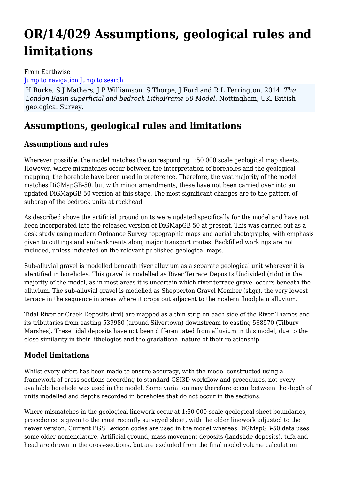# **OR/14/029 Assumptions, geological rules and limitations**

#### From Earthwise [Jump to navigation](#page--1-0) [Jump to search](#page--1-0)

H Burke, S J Mathers, J P Williamson, S Thorpe, J Ford and R L Terrington. 2014. *The London Basin superficial and bedrock LithoFrame 50 Model*. Nottingham, UK, British geological Survey.

## **Assumptions, geological rules and limitations**

### **Assumptions and rules**

Wherever possible, the model matches the corresponding 1:50 000 scale geological map sheets. However, where mismatches occur between the interpretation of boreholes and the geological mapping, the borehole have been used in preference. Therefore, the vast majority of the model matches DiGMapGB-50, but with minor amendments, these have not been carried over into an updated DiGMapGB-50 version at this stage. The most significant changes are to the pattern of subcrop of the bedrock units at rockhead.

As described above the artificial ground units were updated specifically for the model and have not been incorporated into the released version of DiGMapGB-50 at present. This was carried out as a desk study using modern Ordnance Survey topographic maps and aerial photographs, with emphasis given to cuttings and embankments along major transport routes. Backfilled workings are not included, unless indicated on the relevant published geological maps.

Sub-alluvial gravel is modelled beneath river alluvium as a separate geological unit wherever it is identified in boreholes. This gravel is modelled as River Terrace Deposits Undivided (rtdu) in the majority of the model, as in most areas it is uncertain which river terrace gravel occurs beneath the alluvium. The sub-alluvial gravel is modelled as Shepperton Gravel Member (shgr), the very lowest terrace in the sequence in areas where it crops out adjacent to the modern floodplain alluvium.

Tidal River or Creek Deposits (trd) are mapped as a thin strip on each side of the River Thames and its tributaries from easting 539980 (around Silvertown) downstream to easting 568570 (Tilbury Marshes). These tidal deposits have not been differentiated from alluvium in this model, due to the close similarity in their lithologies and the gradational nature of their relationship.

### **Model limitations**

Whilst every effort has been made to ensure accuracy, with the model constructed using a framework of cross-sections according to standard GSI3D workflow and procedures, not every available borehole was used in the model. Some variation may therefore occur between the depth of units modelled and depths recorded in boreholes that do not occur in the sections.

Where mismatches in the geological linework occur at 1:50 000 scale geological sheet boundaries, precedence is given to the most recently surveyed sheet, with the older linework adjusted to the newer version. Current BGS Lexicon codes are used in the model whereas DiGMapGB-50 data uses some older nomenclature. Artificial ground, mass movement deposits (landslide deposits), tufa and head are drawn in the cross-sections, but are excluded from the final model volume calculation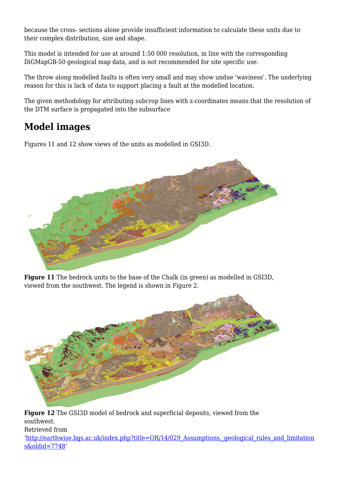because the cross- sections alone provide insufficient information to calculate these units due to their complex distribution, size and shape.

This model is intended for use at around 1:50 000 resolution, in line with the corresponding DiGMapGB-50 geological map data, and is not recommended for site specific use.

The throw along modelled faults is often very small and may show undue 'waviness'. The underlying reason for this is lack of data to support placing a fault at the modelled location.

The given methodology for attributing subcrop lines with z-coordinates means that the resolution of the DTM surface is propagated into the subsurface

# **Model images**

Figures 11 and 12 show views of the units as modelled in GSI3D.



**Figure 11** The bedrock units to the base of the Chalk (in green) as modelled in GSI3D, viewed from the southwest. The legend is shown in Figure 2.



**Figure 12** The GSI3D model of bedrock and superficial deposits, viewed from the southwest.

Retrieved from

'[http://earthwise.bgs.ac.uk/index.php?title=OR/14/029\\_Assumptions,\\_geological\\_rules\\_and\\_limitation](http://earthwise.bgs.ac.uk/index.php?title=OR/14/029_Assumptions,_geological_rules_and_limitations&oldid=7748) [s&oldid=7748'](http://earthwise.bgs.ac.uk/index.php?title=OR/14/029_Assumptions,_geological_rules_and_limitations&oldid=7748)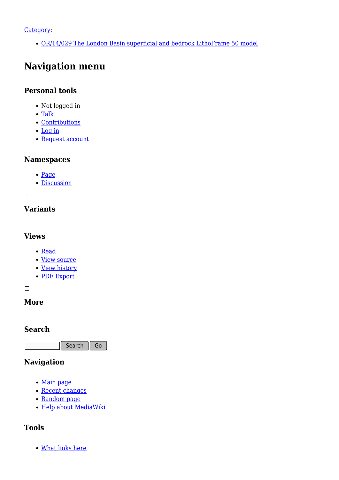#### [Category](http://earthwise.bgs.ac.uk/index.php/Special:Categories):

[OR/14/029 The London Basin superficial and bedrock LithoFrame 50 model](http://earthwise.bgs.ac.uk/index.php/Category:OR/14/029_The_London_Basin_superficial_and_bedrock_LithoFrame_50_model)

## **Navigation menu**

#### **Personal tools**

- Not logged in
- [Talk](http://earthwise.bgs.ac.uk/index.php/Special:MyTalk)
- [Contributions](http://earthwise.bgs.ac.uk/index.php/Special:MyContributions)
- [Log in](http://earthwise.bgs.ac.uk/index.php?title=Special:UserLogin&returnto=OR%2F14%2F029+Assumptions%2C+geological+rules+and+limitations&returntoquery=action%3Dmpdf)
- [Request account](http://earthwise.bgs.ac.uk/index.php/Special:RequestAccount)

#### **Namespaces**

- [Page](http://earthwise.bgs.ac.uk/index.php/OR/14/029_Assumptions,_geological_rules_and_limitations)
- [Discussion](http://earthwise.bgs.ac.uk/index.php?title=Talk:OR/14/029_Assumptions,_geological_rules_and_limitations&action=edit&redlink=1)

 $\Box$ 

### **Variants**

#### **Views**

- [Read](http://earthwise.bgs.ac.uk/index.php/OR/14/029_Assumptions,_geological_rules_and_limitations)
- [View source](http://earthwise.bgs.ac.uk/index.php?title=OR/14/029_Assumptions,_geological_rules_and_limitations&action=edit)
- [View history](http://earthwise.bgs.ac.uk/index.php?title=OR/14/029_Assumptions,_geological_rules_and_limitations&action=history)
- [PDF Export](http://earthwise.bgs.ac.uk/index.php?title=OR/14/029_Assumptions,_geological_rules_and_limitations&action=mpdf)

 $\overline{\phantom{a}}$ 

#### **More**

#### **Search**

 $\Box$  Search  $\parallel$  Go

#### **Navigation**

- [Main page](http://earthwise.bgs.ac.uk/index.php/Main_Page)
- [Recent changes](http://earthwise.bgs.ac.uk/index.php/Special:RecentChanges)
- [Random page](http://earthwise.bgs.ac.uk/index.php/Special:Random)
- [Help about MediaWiki](https://www.mediawiki.org/wiki/Special:MyLanguage/Help:Contents)

#### **Tools**

[What links here](http://earthwise.bgs.ac.uk/index.php/Special:WhatLinksHere/OR/14/029_Assumptions,_geological_rules_and_limitations)